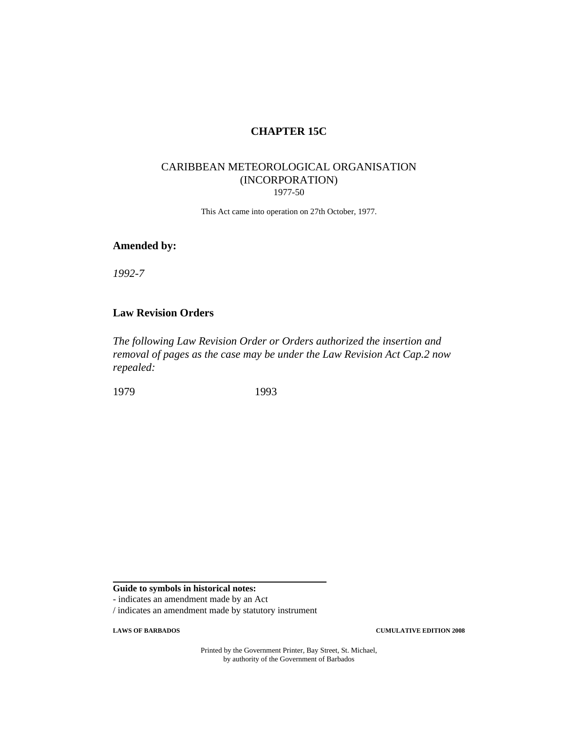# **CHAPTER 15C**

### CARIBBEAN METEOROLOGICAL ORGANISATION (INCORPORATION) 1977-50

This Act came into operation on 27th October, 1977.

#### **Amended by:**

*1992-7*

## **Law Revision Orders**

*The following Law Revision Order or Orders authorized the insertion and removal of pages as the case may be under the Law Revision Act Cap.2 now repealed:*

1979 1993

**Guide to symbols in historical notes:**

- indicates an amendment made by an Act

/ indicates an amendment made by statutory instrument

**LAWS OF BARBADOS CUMULATIVE EDITION 2008**

Printed by the Government Printer, Bay Street, St. Michael, by authority of the Government of Barbados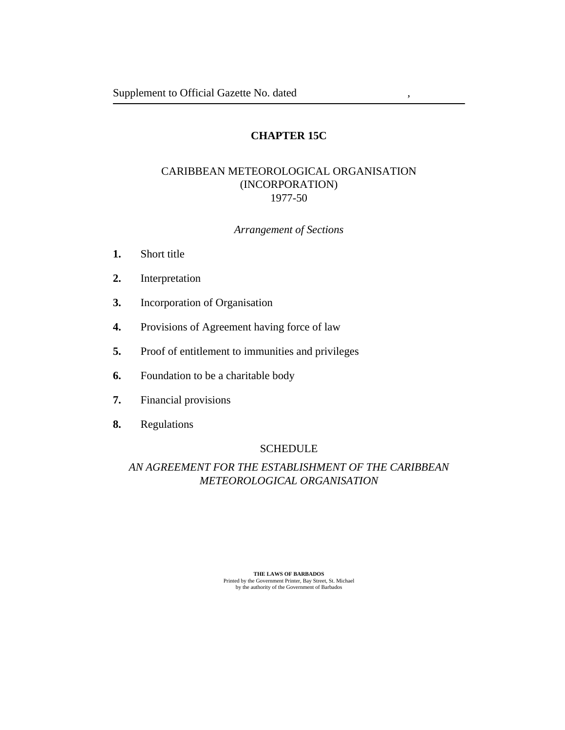# **CHAPTER 15C**

# CARIBBEAN METEOROLOGICAL ORGANISATION (INCORPORATION) 1977-50

### *Arrangement of Sections*

- [Short title](#page-4-0) **1.**
- [Interpretation](#page-4-0) **2.**
- [Incorporation of Organisation](#page-5-0) **3.**
- [Provisions of Agreement having force of law](#page-5-0) **4.**
- [Proof of entitlement to immunities and privileges](#page-5-0) **5.**
- [Foundation to be a charitable body](#page-5-0) **6.**
- [Financial provisions](#page-5-0) **7.**
- [Regulations](#page-5-0) **8.**

### **SCHEDULE**

# *[AN AGREEMENT FOR THE ESTABLISHMENT OF THE CARIBBEAN](#page-6-0) METEOROLOGICAL ORGANISATION*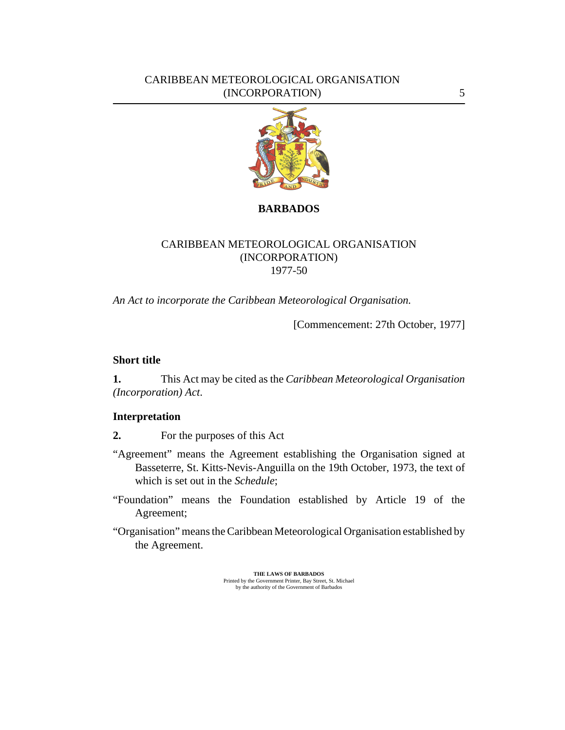## <span id="page-4-0"></span>CARIBBEAN METEOROLOGICAL ORGANISATION (INCORPORATION) 5



# **BARBADOS**

# CARIBBEAN METEOROLOGICAL ORGANISATION (INCORPORATION) 1977-50

*An Act to incorporate the Caribbean Meteorological Organisation.*

[Commencement: 27th October, 1977]

### **Short title**

This Act may be cited as the *Caribbean Meteorological Organisation (Incorporation) Act*. **1.**

## **Interpretation**

For the purposes of this Act **2.**

- "Agreement" means the Agreement establishing the Organisation signed at Basseterre, St. Kitts-Nevis-Anguilla on the 19th October, 1973, the text of which is set out in the *[Schedule](#page-6-0)*;
- "Foundation" means the Foundation established by Article 19 of the Agreement;
- "Organisation" means the Caribbean Meteorological Organisation established by the Agreement.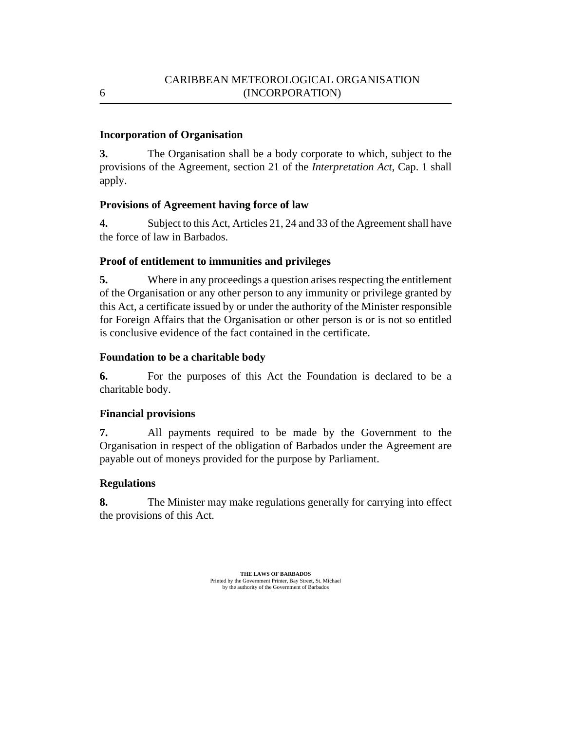## **Incorporation of Organisation**

The Organisation shall be a body corporate to which, subject to the provisions of the Agreement, section 21 of the *[Interpretation Act](http://barbadosparliament-laws.com/en/showdoc/cs/1)*, Cap. 1 shall apply. **3.**

## **Provisions of Agreement having force of law**

Subject to this Act, Articles 21, 24 and 33 of the Agreement shall have the force of law in Barbados. **4.**

# **Proof of entitlement to immunities and privileges**

Where in any proceedings a question arises respecting the entitlement of the Organisation or any other person to any immunity or privilege granted by this Act, a certificate issued by or under the authority of the Minister responsible for Foreign Affairs that the Organisation or other person is or is not so entitled is conclusive evidence of the fact contained in the certificate. **5.**

# **Foundation to be a charitable body**

For the purposes of this Act the Foundation is declared to be a charitable body. **6.**

# **Financial provisions**

All payments required to be made by the Government to the Organisation in respect of the obligation of Barbados under the Agreement are payable out of moneys provided for the purpose by Parliament. **7.**

# **Regulations**

The Minister may make regulations generally for carrying into effect the provisions of this Act. **8.**

> **THE LAWS OF BARBADOS** Printed by the Government Printer, Bay Street, St. Michael by the authority of the Government of Barbados

<span id="page-5-0"></span>6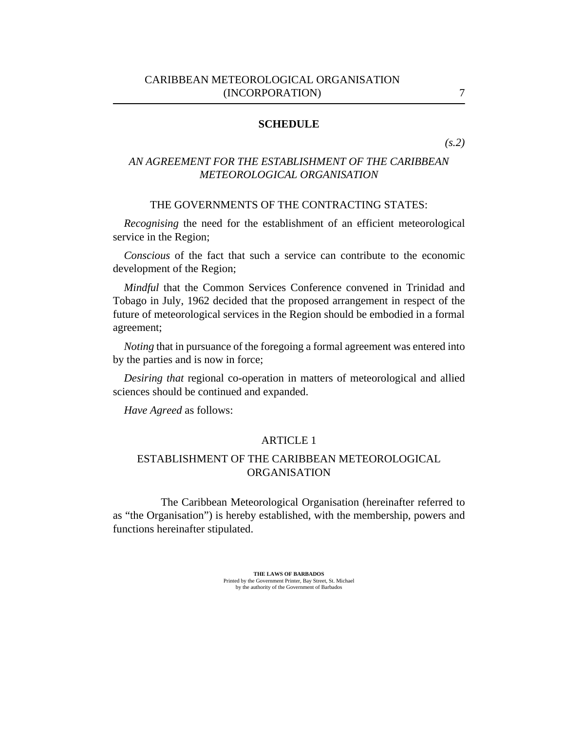### <span id="page-6-0"></span>CARIBBEAN METEOROLOGICAL ORGANISATION (INCORPORATION) 7

#### **SCHEDULE**

*[\(s.2](#page-4-0))*

# *AN AGREEMENT FOR THE ESTABLISHMENT OF THE CARIBBEAN METEOROLOGICAL ORGANISATION*

#### THE GOVERNMENTS OF THE CONTRACTING STATES:

*Recognising* the need for the establishment of an efficient meteorological service in the Region;

*Conscious* of the fact that such a service can contribute to the economic development of the Region;

*Mindful* that the Common Services Conference convened in Trinidad and Tobago in July, 1962 decided that the proposed arrangement in respect of the future of meteorological services in the Region should be embodied in a formal agreement;

*Noting* that in pursuance of the foregoing a formal agreement was entered into by the parties and is now in force;

*Desiring that* regional co-operation in matters of meteorological and allied sciences should be continued and expanded.

*Have Agreed* as follows:

### ARTICLE 1

# ESTABLISHMENT OF THE CARIBBEAN METEOROLOGICAL ORGANISATION

The Caribbean Meteorological Organisation (hereinafter referred to as "the Organisation") is hereby established, with the membership, powers and functions hereinafter stipulated.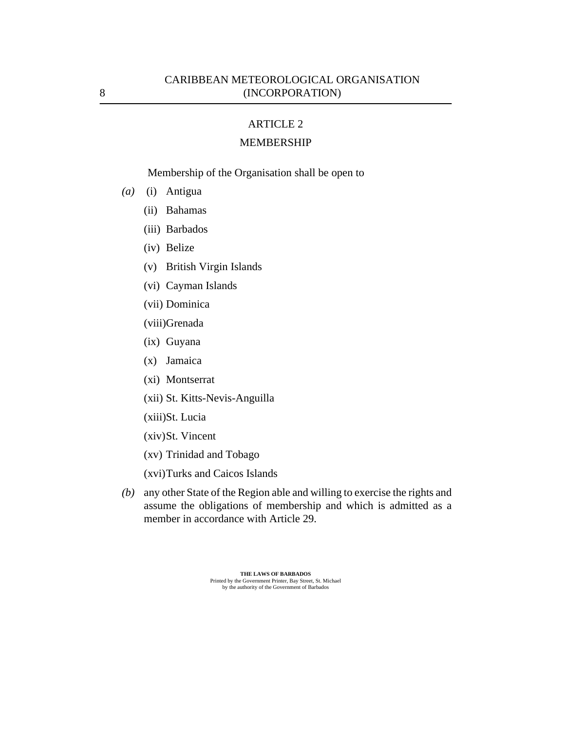### MEMBERSHIP

Membership of the Organisation shall be open to

- (a) (i) Antigua
	- Bahamas (ii)
	- Barbados (iii)
	- (iv) Belize
	- British Virgin Islands (v)
	- Cayman Islands (vi)
	- Dominica (vii)
	- (viii)Grenada
	- (ix) Guyana
	- Jamaica (x)
	- (xi) Montserrat
	- (xii) St. Kitts-Nevis-Anguilla
	- (xiii)St. Lucia
	- (xiv) St. Vincent
	- Trinidad and Tobago (xv)
	- (xvi) Turks and Caicos Islands
- any other State of the Region able and willing to exercise the rights and *(b)* assume the obligations of membership and which is admitted as a member in accordance with Article 29.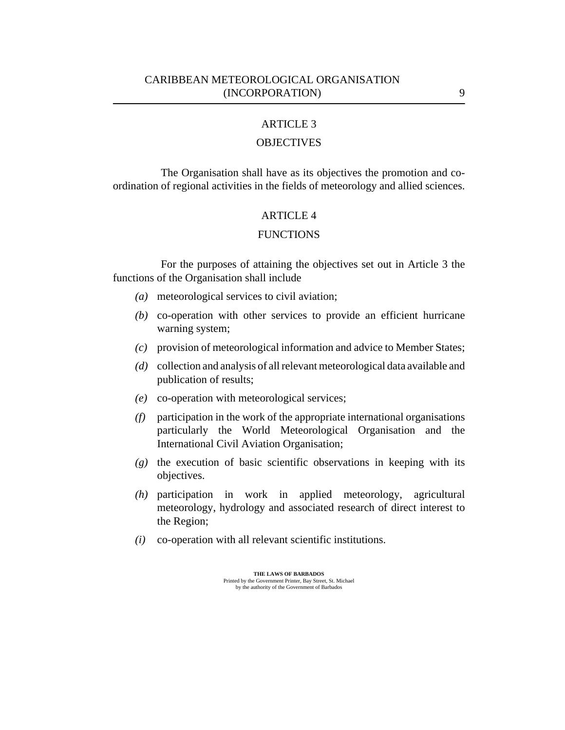## **OBJECTIVES**

The Organisation shall have as its objectives the promotion and coordination of regional activities in the fields of meteorology and allied sciences.

#### ARTICLE 4

#### **FUNCTIONS**

For the purposes of attaining the objectives set out in Article 3 the functions of the Organisation shall include

- meteorological services to civil aviation; *(a)*
- co-operation with other services to provide an efficient hurricane *(b)* warning system;
- provision of meteorological information and advice to Member States; *(c)*
- collection and analysis of all relevant meteorological data available and *(d)* publication of results;
- co-operation with meteorological services; *(e)*
- participation in the work of the appropriate international organisations *(f)* particularly the World Meteorological Organisation and the International Civil Aviation Organisation;
- (g) the execution of basic scientific observations in keeping with its objectives.
- participation in work in applied meteorology, agricultural *(h)* meteorology, hydrology and associated research of direct interest to the Region;
- co-operation with all relevant scientific institutions. *(i)*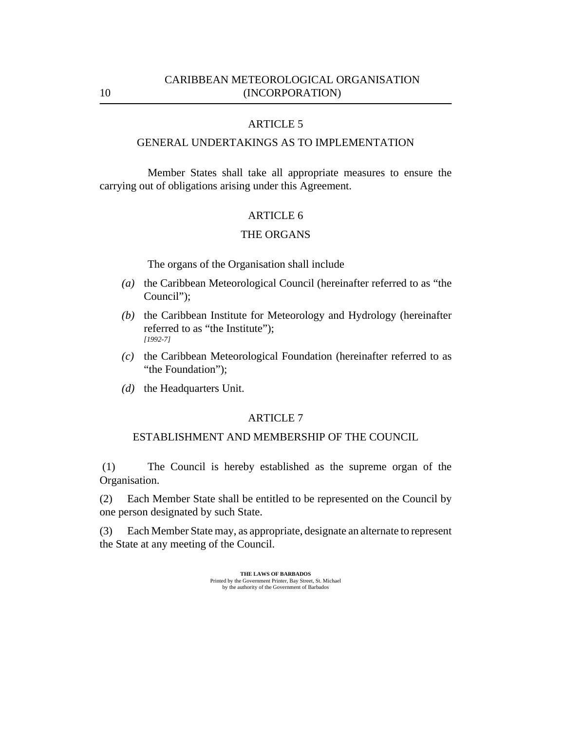## GENERAL UNDERTAKINGS AS TO IMPLEMENTATION

Member States shall take all appropriate measures to ensure the carrying out of obligations arising under this Agreement.

### ARTICLE 6

## THE ORGANS

The organs of the Organisation shall include

- (a) the Caribbean Meteorological Council (hereinafter referred to as "the Council");
- (b) the Caribbean Institute for Meteorology and Hydrology (hereinafter referred to as "the Institute"); *[1992-7]*
- (c) the Caribbean Meteorological Foundation (hereinafter referred to as "the Foundation");
- (d) the Headquarters Unit.

#### ARTICLE 7

#### ESTABLISHMENT AND MEMBERSHIP OF THE COUNCIL

The Council is hereby established as the supreme organ of the Organisation. (1)

Each Member State shall be entitled to be represented on the Council by one person designated by such State. (2)

Each Member State may, as appropriate, designate an alternate to represent the State at any meeting of the Council. (3)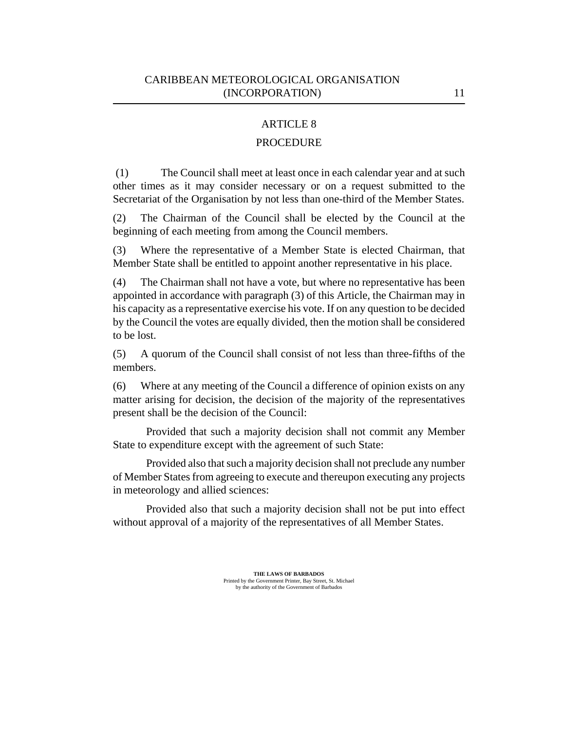## PROCEDURE

The Council shall meet at least once in each calendar year and at such other times as it may consider necessary or on a request submitted to the Secretariat of the Organisation by not less than one-third of the Member States. (1)

The Chairman of the Council shall be elected by the Council at the beginning of each meeting from among the Council members. (2)

Where the representative of a Member State is elected Chairman, that Member State shall be entitled to appoint another representative in his place. (3)

The Chairman shall not have a vote, but where no representative has been appointed in accordance with paragraph (3) of this Article, the Chairman may in his capacity as a representative exercise his vote. If on any question to be decided by the Council the votes are equally divided, then the motion shall be considered to be lost. (4)

A quorum of the Council shall consist of not less than three-fifths of the members. (5)

Where at any meeting of the Council a difference of opinion exists on any matter arising for decision, the decision of the majority of the representatives present shall be the decision of the Council: (6)

Provided that such a majority decision shall not commit any Member State to expenditure except with the agreement of such State:

Provided also that such a majority decision shall not preclude any number of Member States from agreeing to execute and thereupon executing any projects in meteorology and allied sciences:

Provided also that such a majority decision shall not be put into effect without approval of a majority of the representatives of all Member States.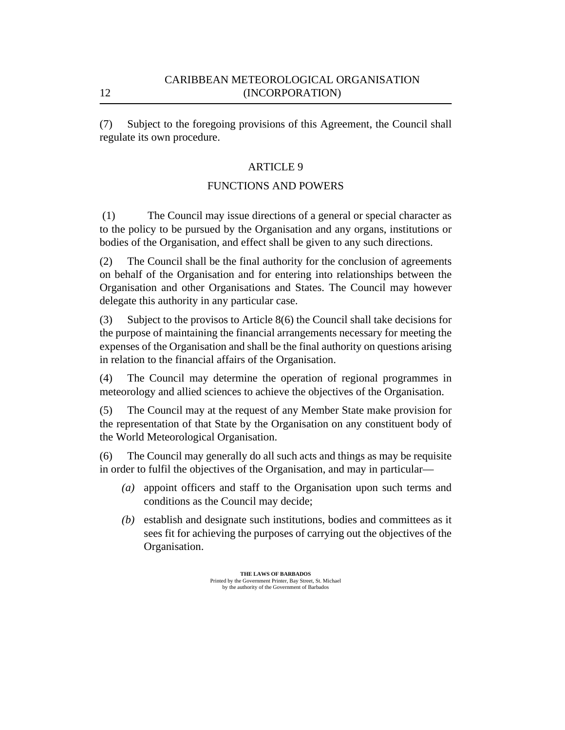Subject to the foregoing provisions of this Agreement, the Council shall regulate its own procedure. (7)

# ARTICLE 9

# FUNCTIONS AND POWERS

The Council may issue directions of a general or special character as to the policy to be pursued by the Organisation and any organs, institutions or bodies of the Organisation, and effect shall be given to any such directions. (1)

The Council shall be the final authority for the conclusion of agreements on behalf of the Organisation and for entering into relationships between the Organisation and other Organisations and States. The Council may however delegate this authority in any particular case. (2)

Subject to the provisos to Article 8(6) the Council shall take decisions for the purpose of maintaining the financial arrangements necessary for meeting the expenses of the Organisation and shall be the final authority on questions arising in relation to the financial affairs of the Organisation. (3)

The Council may determine the operation of regional programmes in meteorology and allied sciences to achieve the objectives of the Organisation. (4)

The Council may at the request of any Member State make provision for the representation of that State by the Organisation on any constituent body of the World Meteorological Organisation. (5)

The Council may generally do all such acts and things as may be requisite in order to fulfil the objectives of the Organisation, and may in particular— (6)

- appoint officers and staff to the Organisation upon such terms and *(a)* conditions as the Council may decide;
- (b) establish and designate such institutions, bodies and committees as it sees fit for achieving the purposes of carrying out the objectives of the Organisation.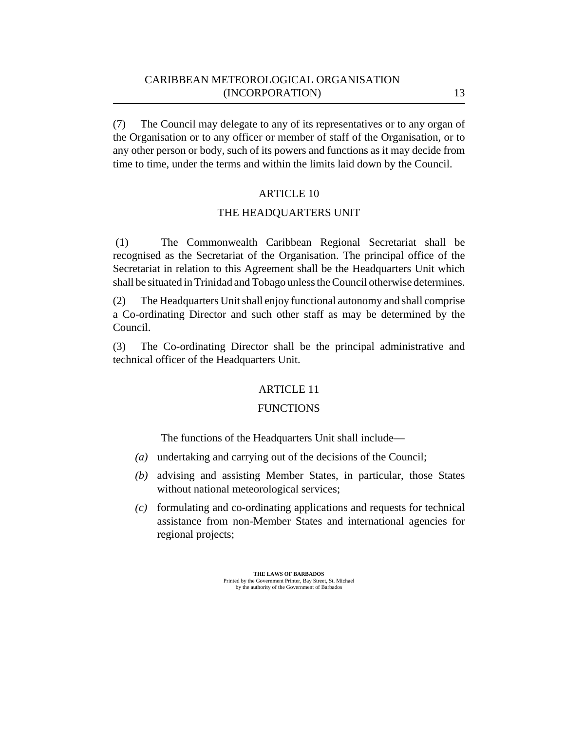## CARIBBEAN METEOROLOGICAL ORGANISATION (INCORPORATION) 13

The Council may delegate to any of its representatives or to any organ of the Organisation or to any officer or member of staff of the Organisation, or to any other person or body, such of its powers and functions as it may decide from time to time, under the terms and within the limits laid down by the Council. (7)

### ARTICLE 10

### THE HEADQUARTERS UNIT

The Commonwealth Caribbean Regional Secretariat shall be recognised as the Secretariat of the Organisation. The principal office of the Secretariat in relation to this Agreement shall be the Headquarters Unit which shall be situated in Trinidad and Tobago unless the Council otherwise determines. (1)

The Headquarters Unit shall enjoy functional autonomy and shall comprise a Co-ordinating Director and such other staff as may be determined by the Council. (2)

The Co-ordinating Director shall be the principal administrative and technical officer of the Headquarters Unit. (3)

### ARTICLE 11

### **FUNCTIONS**

The functions of the Headquarters Unit shall include—

- undertaking and carrying out of the decisions of the Council; *(a)*
- advising and assisting Member States, in particular, those States *(b)* without national meteorological services;
- formulating and co-ordinating applications and requests for technical *(c)* assistance from non-Member States and international agencies for regional projects;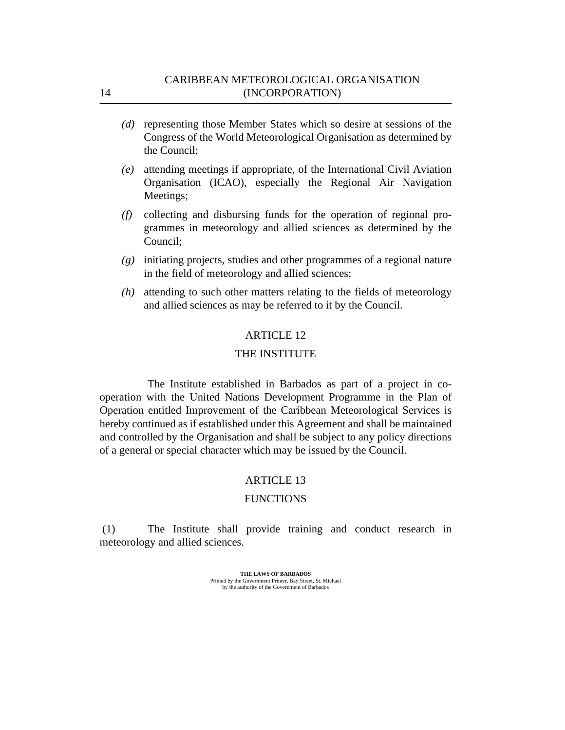- (d) representing those Member States which so desire at sessions of the Congress of the World Meteorological Organisation as determined by the Council;
- attending meetings if appropriate, of the International Civil Aviation *(e)* Organisation (ICAO), especially the Regional Air Navigation Meetings;
- collecting and disbursing funds for the operation of regional pro-*(f)* grammes in meteorology and allied sciences as determined by the Council;
- initiating projects, studies and other programmes of a regional nature *(g)* in the field of meteorology and allied sciences;
- attending to such other matters relating to the fields of meteorology *(h)* and allied sciences as may be referred to it by the Council.

### THE INSTITUTE

The Institute established in Barbados as part of a project in cooperation with the United Nations Development Programme in the Plan of Operation entitled Improvement of the Caribbean Meteorological Services is hereby continued as if established under this Agreement and shall be maintained and controlled by the Organisation and shall be subject to any policy directions of a general or special character which may be issued by the Council.

#### ARTICLE 13

### **FUNCTIONS**

The Institute shall provide training and conduct research in meteorology and allied sciences. (1)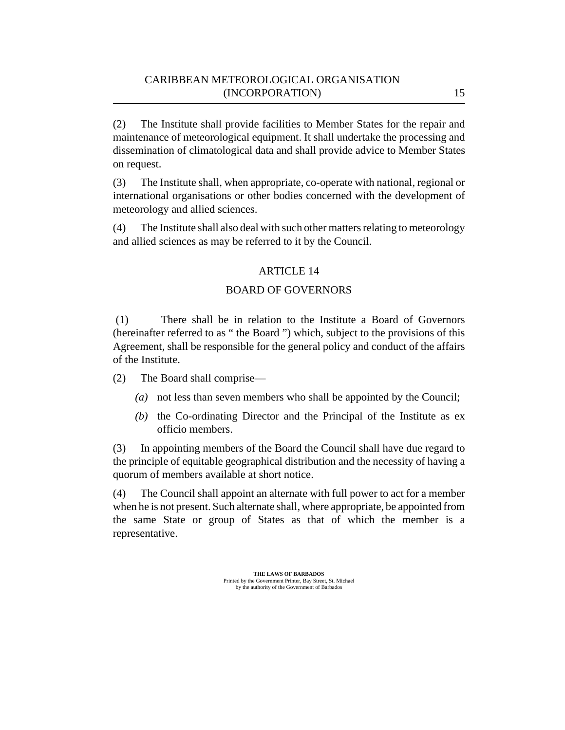The Institute shall provide facilities to Member States for the repair and maintenance of meteorological equipment. It shall undertake the processing and dissemination of climatological data and shall provide advice to Member States on request. (2)

The Institute shall, when appropriate, co-operate with national, regional or international organisations or other bodies concerned with the development of meteorology and allied sciences. (3)

The Institute shall also deal with such other matters relating to meteorology and allied sciences as may be referred to it by the Council. (4)

## ARTICLE 14

## BOARD OF GOVERNORS

There shall be in relation to the Institute a Board of Governors (hereinafter referred to as " the Board ") which, subject to the provisions of this Agreement, shall be responsible for the general policy and conduct of the affairs of the Institute. (1)

The Board shall comprise— (2)

- not less than seven members who shall be appointed by the Council; *(a)*
- $(b)$  the Co-ordinating Director and the Principal of the Institute as  $ex$ officio members.

In appointing members of the Board the Council shall have due regard to the principle of equitable geographical distribution and the necessity of having a quorum of members available at short notice. (3)

The Council shall appoint an alternate with full power to act for a member when he is not present. Such alternate shall, where appropriate, be appointed from the same State or group of States as that of which the member is a representative. (4)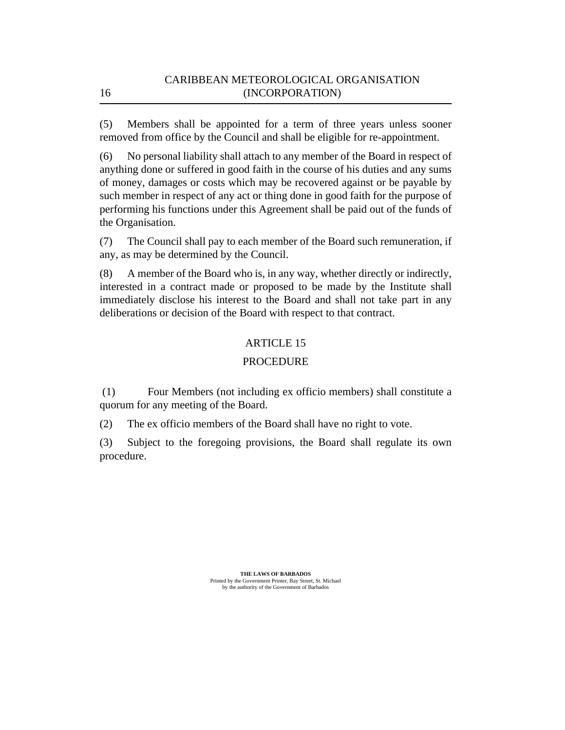Members shall be appointed for a term of three years unless sooner removed from office by the Council and shall be eligible for re-appointment. (5)

No personal liability shall attach to any member of the Board in respect of anything done or suffered in good faith in the course of his duties and any sums of money, damages or costs which may be recovered against or be payable by such member in respect of any act or thing done in good faith for the purpose of performing his functions under this Agreement shall be paid out of the funds of the Organisation. (6)

The Council shall pay to each member of the Board such remuneration, if any, as may be determined by the Council. (7)

A member of the Board who is, in any way, whether directly or indirectly, interested in a contract made or proposed to be made by the Institute shall immediately disclose his interest to the Board and shall not take part in any deliberations or decision of the Board with respect to that contract. (8)

## ARTICLE 15

## PROCEDURE

Four Members (not including ex officio members) shall constitute a quorum for any meeting of the Board. (1)

The ex officio members of the Board shall have no right to vote. (2)

Subject to the foregoing provisions, the Board shall regulate its own procedure. (3)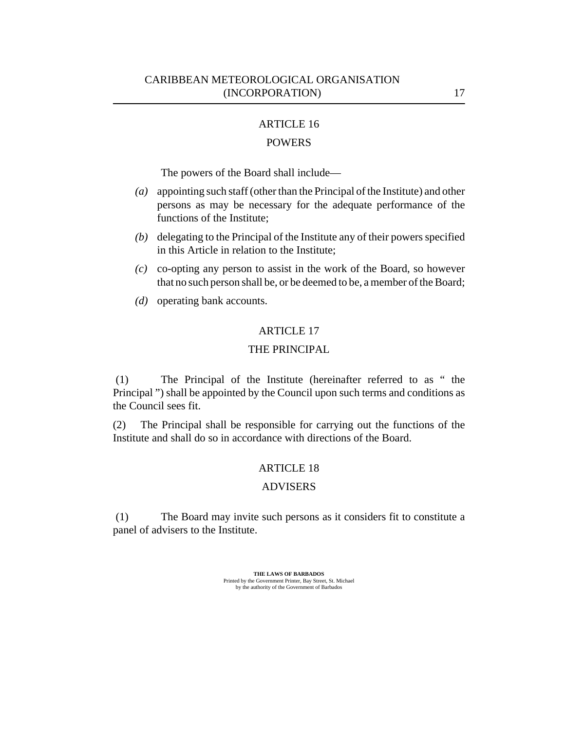### POWERS

The powers of the Board shall include—

- appointing such staff (other than the Principal of the Institute) and other persons as may be necessary for the adequate performance of the functions of the Institute; *(a)*
- (b) delegating to the Principal of the Institute any of their powers specified in this Article in relation to the Institute;
- co-opting any person to assist in the work of the Board, so however *(c)* that no such person shall be, or be deemed to be, a member of the Board;
- (*d*) operating bank accounts.

#### ARTICLE 17

## THE PRINCIPAL

The Principal of the Institute (hereinafter referred to as " the Principal ") shall be appointed by the Council upon such terms and conditions as the Council sees fit. (1)

The Principal shall be responsible for carrying out the functions of the Institute and shall do so in accordance with directions of the Board. (2)

#### ARTICLE 18

#### ADVISERS

The Board may invite such persons as it considers fit to constitute a panel of advisers to the Institute. (1)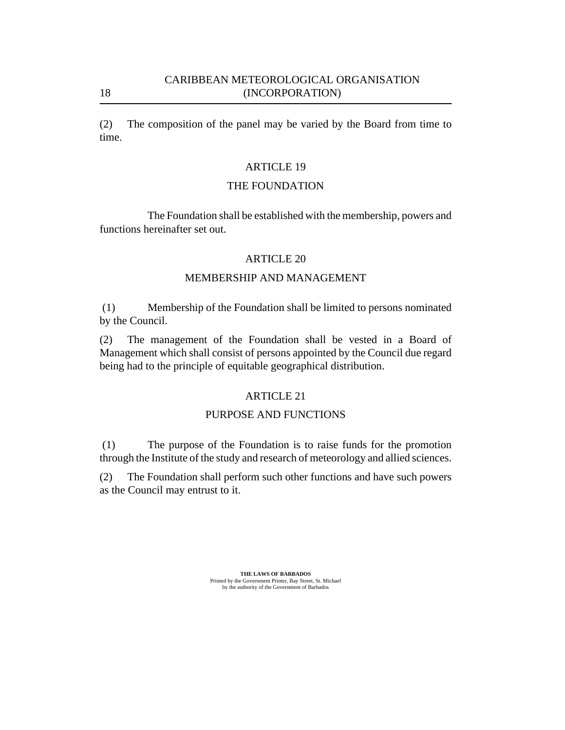The composition of the panel may be varied by the Board from time to time. (2)

## ARTICLE 19

## THE FOUNDATION

The Foundation shall be established with the membership, powers and functions hereinafter set out.

## ARTICLE 20

## MEMBERSHIP AND MANAGEMENT

Membership of the Foundation shall be limited to persons nominated by the Council. (1)

The management of the Foundation shall be vested in a Board of Management which shall consist of persons appointed by the Council due regard being had to the principle of equitable geographical distribution. (2)

## ARTICLE 21

## PURPOSE AND FUNCTIONS

The purpose of the Foundation is to raise funds for the promotion through the Institute of the study and research of meteorology and allied sciences. (1)

The Foundation shall perform such other functions and have such powers as the Council may entrust to it. (2)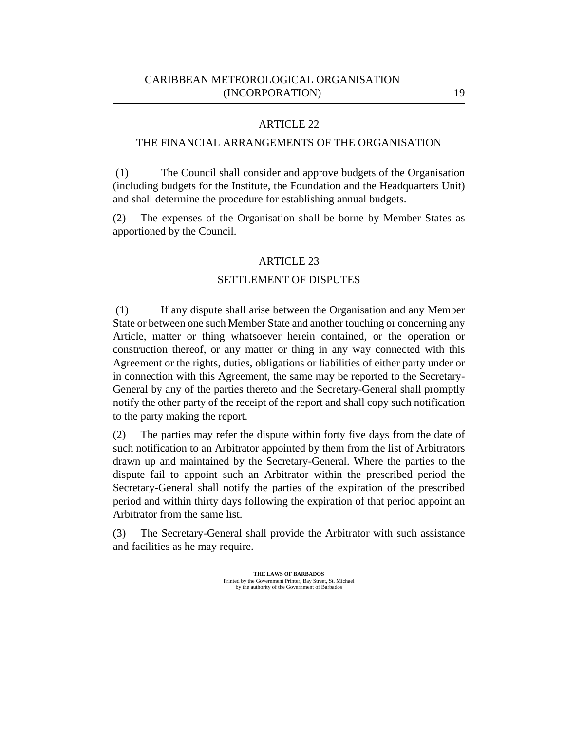## THE FINANCIAL ARRANGEMENTS OF THE ORGANISATION

The Council shall consider and approve budgets of the Organisation (including budgets for the Institute, the Foundation and the Headquarters Unit) and shall determine the procedure for establishing annual budgets. (1)

The expenses of the Organisation shall be borne by Member States as apportioned by the Council. (2)

### ARTICLE 23

#### SETTLEMENT OF DISPUTES

If any dispute shall arise between the Organisation and any Member State or between one such Member State and another touching or concerning any Article, matter or thing whatsoever herein contained, or the operation or construction thereof, or any matter or thing in any way connected with this Agreement or the rights, duties, obligations or liabilities of either party under or in connection with this Agreement, the same may be reported to the Secretary-General by any of the parties thereto and the Secretary-General shall promptly notify the other party of the receipt of the report and shall copy such notification to the party making the report. (1)

The parties may refer the dispute within forty five days from the date of such notification to an Arbitrator appointed by them from the list of Arbitrators drawn up and maintained by the Secretary-General. Where the parties to the dispute fail to appoint such an Arbitrator within the prescribed period the Secretary-General shall notify the parties of the expiration of the prescribed period and within thirty days following the expiration of that period appoint an Arbitrator from the same list. (2)

The Secretary-General shall provide the Arbitrator with such assistance and facilities as he may require. (3)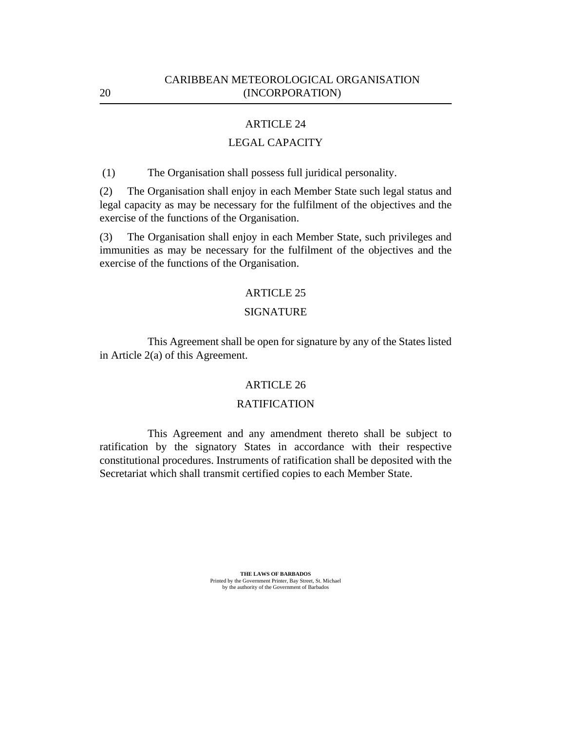## LEGAL CAPACITY

The Organisation shall possess full juridical personality. (1)

The Organisation shall enjoy in each Member State such legal status and legal capacity as may be necessary for the fulfilment of the objectives and the exercise of the functions of the Organisation. (2)

The Organisation shall enjoy in each Member State, such privileges and immunities as may be necessary for the fulfilment of the objectives and the exercise of the functions of the Organisation. (3)

#### ARTICLE 25

### SIGNATURE

This Agreement shall be open for signature by any of the States listed in Article 2(a) of this Agreement.

### ARTICLE 26

### RATIFICATION

This Agreement and any amendment thereto shall be subject to ratification by the signatory States in accordance with their respective constitutional procedures. Instruments of ratification shall be deposited with the Secretariat which shall transmit certified copies to each Member State.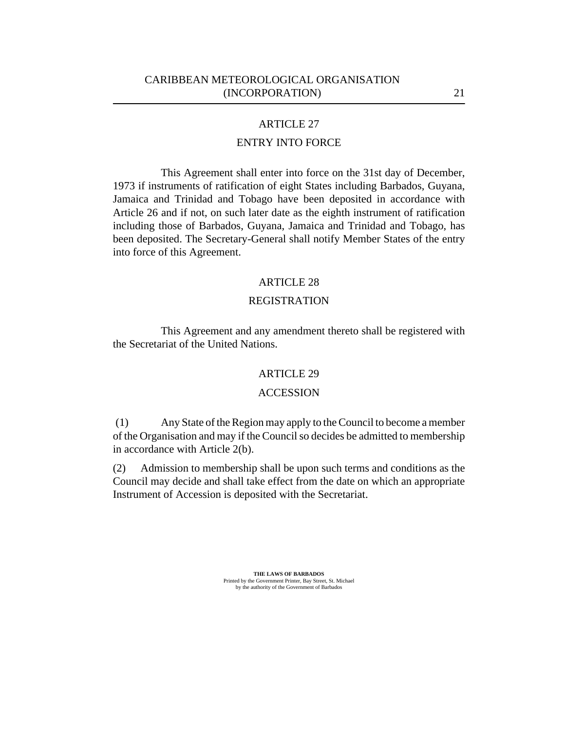## ENTRY INTO FORCE

This Agreement shall enter into force on the 31st day of December, 1973 if instruments of ratification of eight States including Barbados, Guyana, Jamaica and Trinidad and Tobago have been deposited in accordance with Article 26 and if not, on such later date as the eighth instrument of ratification including those of Barbados, Guyana, Jamaica and Trinidad and Tobago, has been deposited. The Secretary-General shall notify Member States of the entry into force of this Agreement.

#### ARTICLE 28

#### REGISTRATION

This Agreement and any amendment thereto shall be registered with the Secretariat of the United Nations.

### ARTICLE 29

#### **ACCESSION**

Any State of the Region may apply to the Council to become a member of the Organisation and may if the Council so decides be admitted to membership in accordance with Article 2(b). (1)

Admission to membership shall be upon such terms and conditions as the Council may decide and shall take effect from the date on which an appropriate Instrument of Accession is deposited with the Secretariat. (2)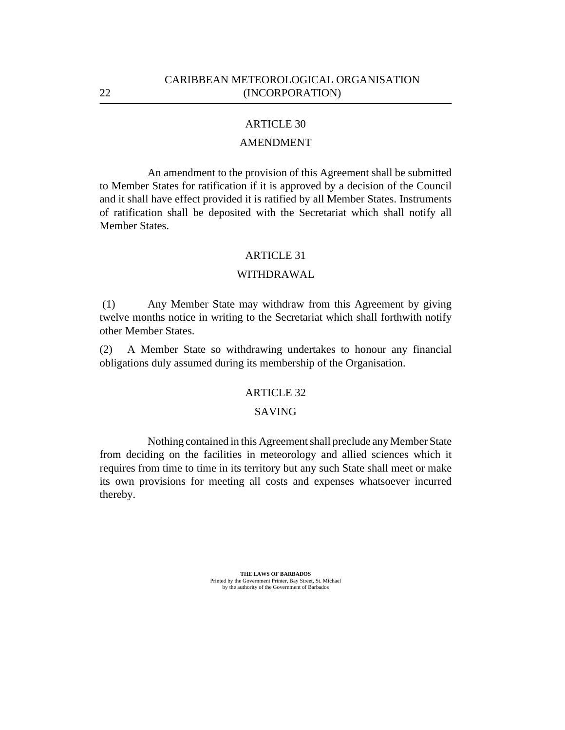### AMENDMENT

An amendment to the provision of this Agreement shall be submitted to Member States for ratification if it is approved by a decision of the Council and it shall have effect provided it is ratified by all Member States. Instruments of ratification shall be deposited with the Secretariat which shall notify all Member States.

#### ARTICLE 31

#### WITHDRAWAL

Any Member State may withdraw from this Agreement by giving twelve months notice in writing to the Secretariat which shall forthwith notify other Member States. (1)

A Member State so withdrawing undertakes to honour any financial obligations duly assumed during its membership of the Organisation. (2)

#### ARTICLE 32

#### SAVING

Nothing contained in this Agreement shall preclude any Member State from deciding on the facilities in meteorology and allied sciences which it requires from time to time in its territory but any such State shall meet or make its own provisions for meeting all costs and expenses whatsoever incurred thereby.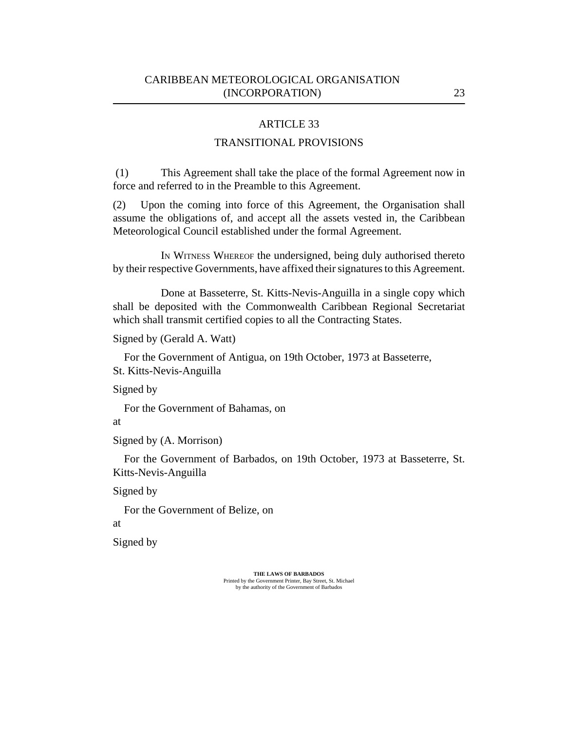## TRANSITIONAL PROVISIONS

This Agreement shall take the place of the formal Agreement now in force and referred to in the Preamble to this Agreement. (1)

Upon the coming into force of this Agreement, the Organisation shall assume the obligations of, and accept all the assets vested in, the Caribbean Meteorological Council established under the formal Agreement. (2)

IN WITNESS WHEREOF the undersigned, being duly authorised thereto by their respective Governments, have affixed their signatures to this Agreement.

Done at Basseterre, St. Kitts-Nevis-Anguilla in a single copy which shall be deposited with the Commonwealth Caribbean Regional Secretariat which shall transmit certified copies to all the Contracting States.

Signed by (Gerald A. Watt)

For the Government of Antigua, on 19th October, 1973 at Basseterre, St. Kitts-Nevis-Anguilla

Signed by

For the Government of Bahamas, on

at

Signed by (A. Morrison)

For the Government of Barbados, on 19th October, 1973 at Basseterre, St. Kitts-Nevis-Anguilla

Signed by

For the Government of Belize, on

at

Signed by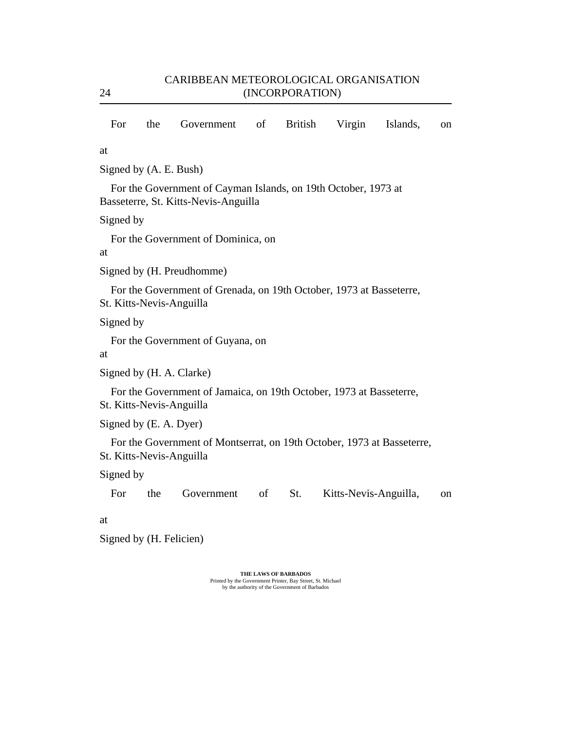| For                                                                                             | the | Government                                                                                             | of | <b>British</b> | Virgin                | Islands, | on |
|-------------------------------------------------------------------------------------------------|-----|--------------------------------------------------------------------------------------------------------|----|----------------|-----------------------|----------|----|
| at                                                                                              |     |                                                                                                        |    |                |                       |          |    |
| Signed by (A. E. Bush)                                                                          |     |                                                                                                        |    |                |                       |          |    |
|                                                                                                 |     | For the Government of Cayman Islands, on 19th October, 1973 at<br>Basseterre, St. Kitts-Nevis-Anguilla |    |                |                       |          |    |
| Signed by                                                                                       |     |                                                                                                        |    |                |                       |          |    |
| at                                                                                              |     | For the Government of Dominica, on                                                                     |    |                |                       |          |    |
|                                                                                                 |     | Signed by (H. Preudhomme)                                                                              |    |                |                       |          |    |
| St. Kitts-Nevis-Anguilla                                                                        |     | For the Government of Grenada, on 19th October, 1973 at Basseterre,                                    |    |                |                       |          |    |
| Signed by                                                                                       |     |                                                                                                        |    |                |                       |          |    |
| at                                                                                              |     | For the Government of Guyana, on                                                                       |    |                |                       |          |    |
| Signed by (H. A. Clarke)                                                                        |     |                                                                                                        |    |                |                       |          |    |
| For the Government of Jamaica, on 19th October, 1973 at Basseterre,<br>St. Kitts-Nevis-Anguilla |     |                                                                                                        |    |                |                       |          |    |
| Signed by (E. A. Dyer)                                                                          |     |                                                                                                        |    |                |                       |          |    |
| St. Kitts-Nevis-Anguilla                                                                        |     | For the Government of Montserrat, on 19th October, 1973 at Basseterre,                                 |    |                |                       |          |    |
| Signed by                                                                                       |     |                                                                                                        |    |                |                       |          |    |
| For                                                                                             | the | Government                                                                                             | of | St.            | Kitts-Nevis-Anguilla, |          | on |
| at                                                                                              |     |                                                                                                        |    |                |                       |          |    |

Signed by (H. Felicien)